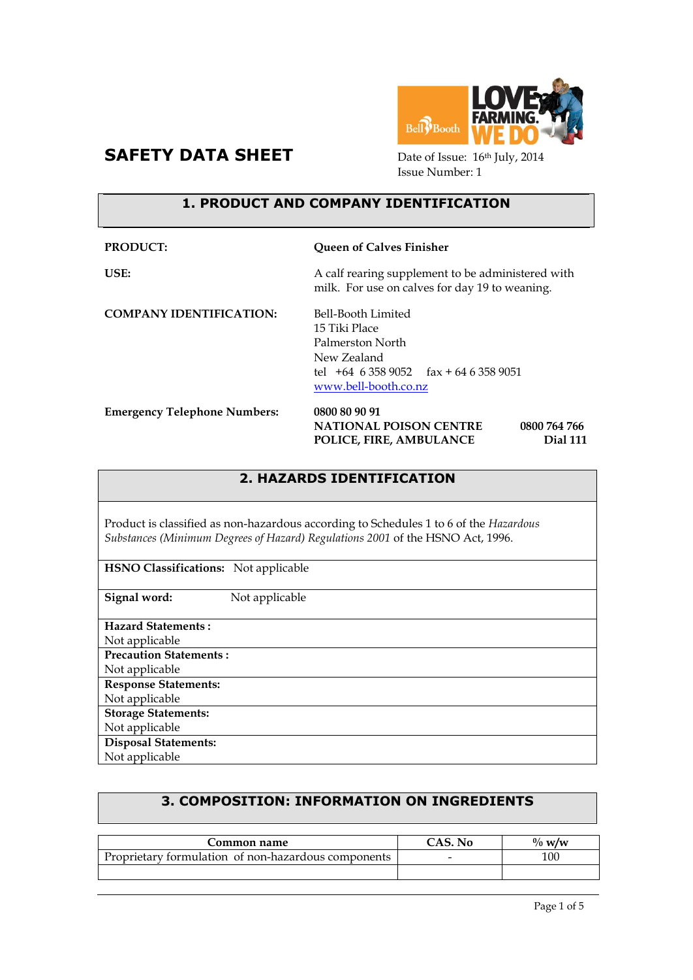



Issue Number: 1

# **1. PRODUCT AND COMPANY IDENTIFICATION**

| PRODUCT:                            | <b>Queen of Calves Finisher</b>                                                                                                             |
|-------------------------------------|---------------------------------------------------------------------------------------------------------------------------------------------|
| USE:                                | A calf rearing supplement to be administered with<br>milk. For use on calves for day 19 to weaning.                                         |
| <b>COMPANY IDENTIFICATION:</b>      | Bell-Booth Limited<br>15 Tiki Place<br>Palmerston North<br>New Zealand<br>tel $+64$ 6 358 9052 fax $+64$ 6 358 9051<br>www.bell-booth.co.nz |
| <b>Emergency Telephone Numbers:</b> | 0800 80 90 91<br><b>NATIONAL POISON CENTRE</b><br>0800 764 766<br>POLICE, FIRE, AMBULANCE<br>Dial 111                                       |

# **2. HAZARDS IDENTIFICATION**

Product is classified as non-hazardous according to Schedules 1 to 6 of the *Hazardous Substances (Minimum Degrees of Hazard) Regulations 2001* of the HSNO Act, 1996.

| <b>HSNO Classifications:</b> Not applicable |                |
|---------------------------------------------|----------------|
| Signal word:                                | Not applicable |
| <b>Hazard Statements:</b>                   |                |
| Not applicable                              |                |
| <b>Precaution Statements:</b>               |                |
| Not applicable                              |                |
| <b>Response Statements:</b>                 |                |
| Not applicable                              |                |
| <b>Storage Statements:</b>                  |                |
| Not applicable                              |                |
| <b>Disposal Statements:</b>                 |                |
| Not applicable                              |                |

# **3. COMPOSITION: INFORMATION ON INGREDIENTS**

| Common name                                         | CAS. No                  | $\%$ w/w |
|-----------------------------------------------------|--------------------------|----------|
| Proprietary formulation of non-hazardous components | $\overline{\phantom{0}}$ | 100      |
|                                                     |                          |          |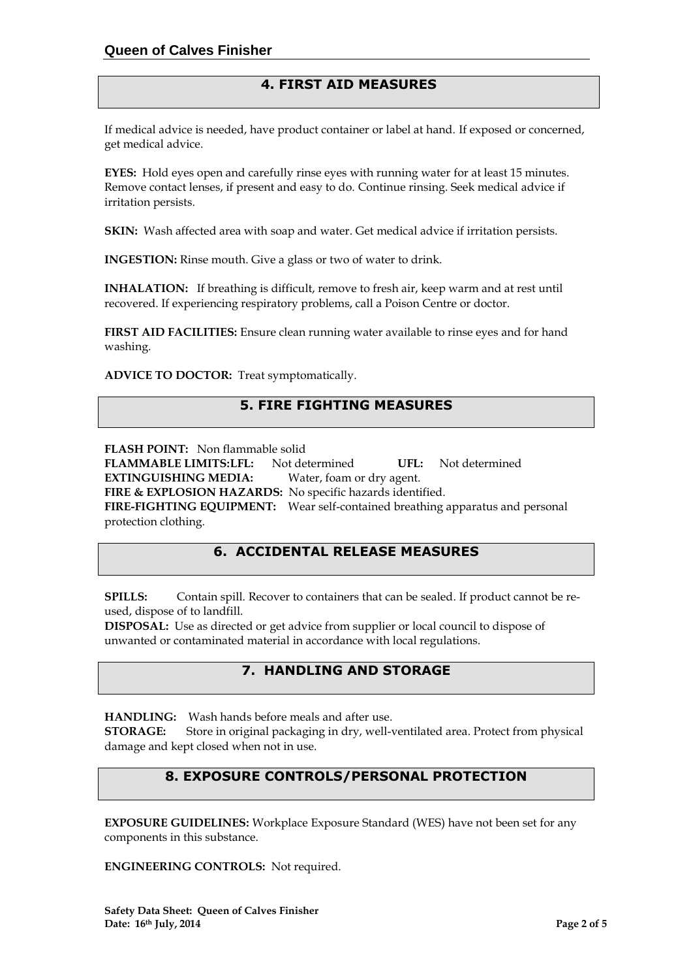# **4. FIRST AID MEASURES**

If medical advice is needed, have product container or label at hand. If exposed or concerned, get medical advice.

**EYES:** Hold eyes open and carefully rinse eyes with running water for at least 15 minutes. Remove contact lenses, if present and easy to do. Continue rinsing. Seek medical advice if irritation persists.

**SKIN:** Wash affected area with soap and water. Get medical advice if irritation persists.

**INGESTION:** Rinse mouth. Give a glass or two of water to drink.

**INHALATION:** If breathing is difficult, remove to fresh air, keep warm and at rest until recovered. If experiencing respiratory problems, call a Poison Centre or doctor.

**FIRST AID FACILITIES:** Ensure clean running water available to rinse eyes and for hand washing.

**ADVICE TO DOCTOR:** Treat symptomatically.

# **5. FIRE FIGHTING MEASURES**

**FLASH POINT:** Non flammable solid

**FLAMMABLE LIMITS:LFL:** Not determined **UFL:** Not determined

**EXTINGUISHING MEDIA:** Water, foam or dry agent.

**FIRE & EXPLOSION HAZARDS:** No specific hazards identified.

**FIRE-FIGHTING EQUIPMENT:** Wear self-contained breathing apparatus and personal protection clothing.

# **6. ACCIDENTAL RELEASE MEASURES**

**SPILLS:** Contain spill. Recover to containers that can be sealed. If product cannot be reused, dispose of to landfill.

**DISPOSAL:** Use as directed or get advice from supplier or local council to dispose of unwanted or contaminated material in accordance with local regulations.

### **7. HANDLING AND STORAGE**

**HANDLING:** Wash hands before meals and after use. **STORAGE:** Store in original packaging in dry, well-ventilated area. Protect from physical damage and kept closed when not in use.

# **8. EXPOSURE CONTROLS/PERSONAL PROTECTION**

**EXPOSURE GUIDELINES:** Workplace Exposure Standard (WES) have not been set for any components in this substance.

**ENGINEERING CONTROLS:** Not required.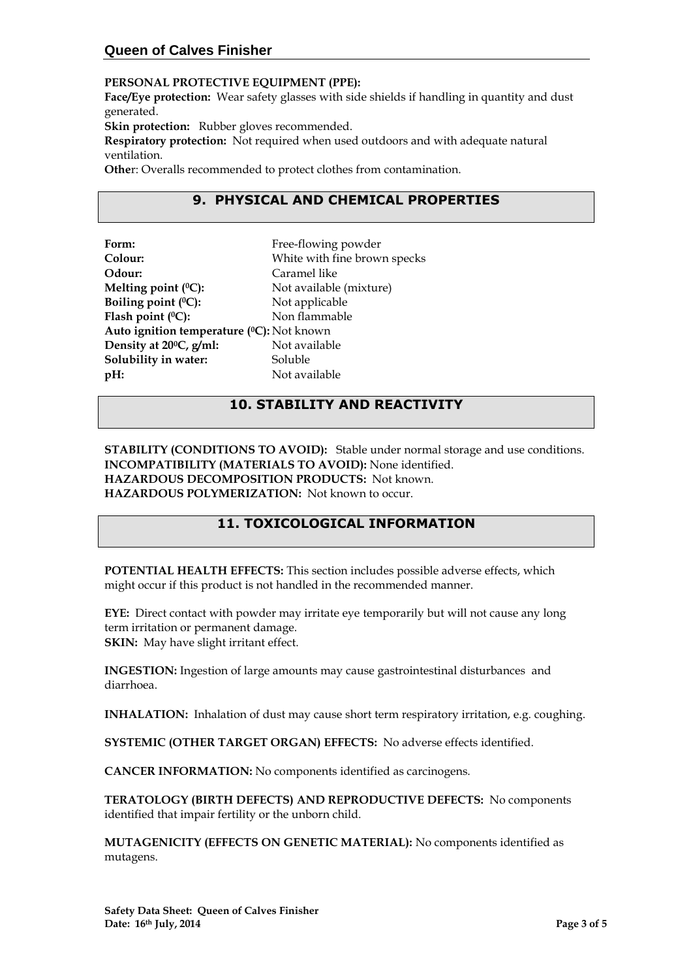### **Queen of Calves Finisher**

#### **PERSONAL PROTECTIVE EQUIPMENT (PPE):**

**Face/Eye protection:** Wear safety glasses with side shields if handling in quantity and dust generated.

**Skin protection:** Rubber gloves recommended.

**Respiratory protection:** Not required when used outdoors and with adequate natural ventilation.

**Othe**r: Overalls recommended to protect clothes from contamination.

# **9. PHYSICAL AND CHEMICAL PROPERTIES**

| Free-flowing powder                       |
|-------------------------------------------|
| White with fine brown specks              |
| Caramel like                              |
| Not available (mixture)                   |
| Not applicable                            |
| Non flammable                             |
| Auto ignition temperature (°C): Not known |
| Not available                             |
| Soluble                                   |
| Not available                             |
|                                           |

# **10. STABILITY AND REACTIVITY**

**STABILITY (CONDITIONS TO AVOID):** Stable under normal storage and use conditions. **INCOMPATIBILITY (MATERIALS TO AVOID):** None identified. **HAZARDOUS DECOMPOSITION PRODUCTS:** Not known. **HAZARDOUS POLYMERIZATION:** Not known to occur.

### **11. TOXICOLOGICAL INFORMATION**

**POTENTIAL HEALTH EFFECTS:** This section includes possible adverse effects, which might occur if this product is not handled in the recommended manner.

**EYE:** Direct contact with powder may irritate eye temporarily but will not cause any long term irritation or permanent damage. **SKIN:** May have slight irritant effect.

**INGESTION:** Ingestion of large amounts may cause gastrointestinal disturbances and diarrhoea.

**INHALATION:** Inhalation of dust may cause short term respiratory irritation, e.g. coughing.

**SYSTEMIC (OTHER TARGET ORGAN) EFFECTS:** No adverse effects identified.

**CANCER INFORMATION:** No components identified as carcinogens.

**TERATOLOGY (BIRTH DEFECTS) AND REPRODUCTIVE DEFECTS:** No components identified that impair fertility or the unborn child.

**MUTAGENICITY (EFFECTS ON GENETIC MATERIAL):** No components identified as mutagens.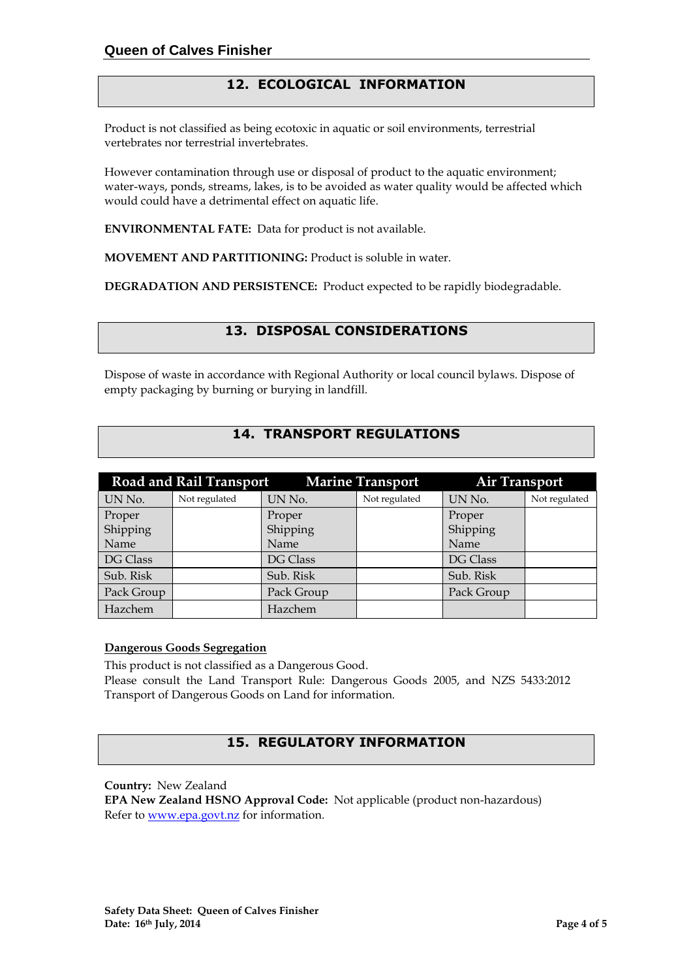# **12. ECOLOGICAL INFORMATION**

Product is not classified as being ecotoxic in aquatic or soil environments, terrestrial vertebrates nor terrestrial invertebrates.

However contamination through use or disposal of product to the aquatic environment; water-ways, ponds, streams, lakes, is to be avoided as water quality would be affected which would could have a detrimental effect on aquatic life.

**ENVIRONMENTAL FATE:** Data for product is not available.

**MOVEMENT AND PARTITIONING:** Product is soluble in water.

**DEGRADATION AND PERSISTENCE:** Product expected to be rapidly biodegradable.

# **13. DISPOSAL CONSIDERATIONS**

Dispose of waste in accordance with Regional Authority or local council bylaws. Dispose of empty packaging by burning or burying in landfill.

# **14. TRANSPORT REGULATIONS**

|            | <b>Road and Rail Transport</b> |            | <b>Marine Transport</b> | <b>Air Transport</b> |               |
|------------|--------------------------------|------------|-------------------------|----------------------|---------------|
| UN No.     | Not regulated                  | UN No.     | Not regulated           | UN No.               | Not regulated |
| Proper     |                                | Proper     |                         | Proper               |               |
| Shipping   |                                | Shipping   |                         | Shipping             |               |
| Name       |                                | Name       |                         | Name                 |               |
| DG Class   |                                | DG Class   |                         | DG Class             |               |
| Sub. Risk  |                                | Sub. Risk  |                         | Sub. Risk            |               |
| Pack Group |                                | Pack Group |                         | Pack Group           |               |
| Hazchem    |                                | Hazchem    |                         |                      |               |

#### **Dangerous Goods Segregation**

This product is not classified as a Dangerous Good.

Please consult the Land Transport Rule: Dangerous Goods 2005, and NZS 5433:2012 Transport of Dangerous Goods on Land for information.

### **15. REGULATORY INFORMATION**

**Country:** New Zealand

**EPA New Zealand HSNO Approval Code:** Not applicable (product non-hazardous) Refer to [www.epa.govt.nz](http://www.epa.govt.nz/) for information.